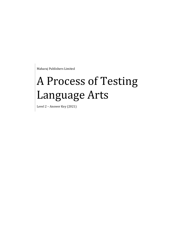Maharaj Publishers Limited

# A Process of Testing Language Arts

Level 2 – Answer Key (2021)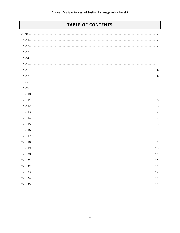## **TABLE OF CONTENTS**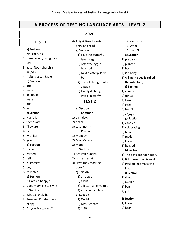## **A PROCESS OF TESTING LANGUAGE ARTS - LEVEL 2**

#### <span id="page-2-2"></span><span id="page-2-1"></span><span id="page-2-0"></span>**2020 TEST 1 a) Section**  1) girl, cake, pie 2) tree- Noun /mango is an (adj) 3) gate- Noun church is an(adj) 4) fruits, basket, table **b) Section**  1) are 2) were 3) an apple 4) were 5) are 6) am **c) Section** 1) Maria is 2) friends are 3) They are 4) I am 5) with her 6) gave **d) Section** 1) made 2) carried 3) sell 4) customers 5) buy 6) collected **e) Section** 1) Is Damien happy? 2) Does Mary like to swim? **f) Section** 1) What a lovely hat! 2) Rose and **Elizabeth** are happy. 3) Do you like to read**?** 4) Abigail likes to **swim,**  draw and read **g) Section**  1) First the butterfly lays its egg. 2) After the egg is hatched. 3) Next a caterpillar is born. 4) Then it changes into a pupa 5) Finally it changes into a butterfly. **TEST 2 a) Section Common**-1) birthday, 2) beach, 3) test, month **Proper** 1) Monday 2) Mia, Maracas 3) March **b) Section**  1) Are you hungry? 2) Is she pretty? 3) Have they read the book? **c) Section**  1) an apple 2) a bus 3) a letter, an envelope 4) an onion, a plate **d) Section**  1) Ouch! 2) Mrs. Seenath 3) 1:30 4) dentist's 5) **A**fter 6) wasn**'**t **e) Section**  1) prepares 2) planted 3) has 4) is having 5) will go (**to see is called the infinitive**) **f) Section**  1) comes 2) for us 3) take 4) goes 5) hasn't 6) enjoys **g) Section**  1) candles 2) celebrating 3) blew 4) made 5) know 6) hugged **h) Section** 1) The boys are not happy. 2) Bill doesn't do his work. 3) Paul did not make the kite. **i) Section** 1) show 2) middle 3) begin 4) gifts  **j) Section** 1) know 2) hear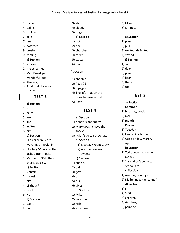- 3) made
- 4) sailing
- 5) cookies 6) pale
- 7) one
- 8) potatoes
- 9) brushes
- 10) coming

## **k) Section**

- 1) a mouse
- 2) she screamed
- 3) Miss Dowd got a wonderful idea.
- 4) Sleeping
- <span id="page-3-0"></span>5) A cat that chases a mouse.

**TEST 3**

## **a) Section**

- 1) is
- 2) helps
- 3) are
- 4) like
- 5) invites
- 6) him

#### **b) Section**

- 1) The children S/ are watching a movie. P
- 2) The lady S/ washes the dishes after meals. P
- 3) My friends S/do their chores quickly. P

## **c) Section**

- 1) **D**ereck
- 2) shoes**!**
- 3) him**.**
- 4) birthday**?**
- 5) week**!**
- 6) **H**e

#### **d) Section**

- 1) scent
- 2) bold
- 3) glad
- 4) cloudy
- 5) huge
	- **e) Section**
- 1) not
- 2) heel
- 3) churches
- 4) meet
- 5) waste
- 6) blue

#### **f) Section**

- 1) chapter 3
- 2) Page 25
- 3) 8 pages
- 4) The information the
- book has inside of it
- <span id="page-3-1"></span>5) Page 3

#### **TEST 4**

#### **a) Section**

- 1) Kenny is not happy
- 2) Mary doesn't have the snacks
- 3) I didn't go to school late.
	- **b) Section**
	- 1) Is today Wednesday?
		- 2) Are the oranges
			- sweet?

#### **c) Section**

- 1) checks
- 2) did
- 3) gets
- 4) us
- 5) our
- 6) gives
	- **d) Section**
- 1) **M**ike
- 2) vacation.
- 3) **F**ish
- 4) awesome**!**

3

- 5) Mike**,**
- 6) famous**,**

#### **e) Section**

- 1) plan 2) pull 3) excited, delighted
- 4) vowed

#### **f) Section**

- 1) sale
- 2) dear
- 3) pain
- 4) bear
- 5) there
- <span id="page-3-2"></span>6) too

#### **TEST 5**

#### **a) Section**

- **Common-**
- 1) birthday, week,
- 2) mall

#### 3) month

- **Proper**
- 1) Tuesday
- 2) Lenny, Scarborough
- 3) Good Friday, March, April

#### **b) Section**

- 1) Ted doesn't have the money.
- 2) Sarah didn't come to school late.

#### **c) Section**

**d) Section** 

1) I 2) 3:00 3) children, 4) ring toss, 5) painting**.**

1) Are they coming?

2) Did he make the kennel?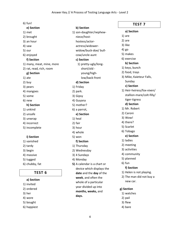6) fun!

<span id="page-4-1"></span><span id="page-4-0"></span>

| 6) fun!                   |                             | <b>TEST7</b>               |
|---------------------------|-----------------------------|----------------------------|
| e) Section                | b) Section                  |                            |
| 1) met                    | 1) son-daughter/nephew-     | a) Section                 |
| 2) brought                | niece/host-                 | 1) are                     |
| 3) an hour                | hostess/actor-              | 2) are                     |
| 4) saw                    | actress/widower-            | 3) like                    |
| 5) our                    | widow/buck-doe/ bull-       | $4)$ go                    |
| 6) enjoyed                | cow/uncle-aunt              | 5) makes                   |
| f) Section                | c) Section                  | 6) exercise                |
| 1) many, meat, mine, more | 1) pretty-ugly/long-        | b) Section                 |
| 2) rat, read, rich, room  | short/old -                 | 1) keys, bunch             |
| g) Section                | young/high-                 | 2) food, trays             |
| 1) ate                    | low/back-front              | 3) Mike, Kaieteur Falls,   |
| 2) buy                    | d) Section                  | Sunday                     |
| 3) pears                  | 1) Friday                   | c) Section                 |
| 4) mangoes                | 2) park.                    | 1) Heir-heiress/fox-vixen/ |
| 5) some                   | 3) Gipsy                    | stallion-mare/colt-filly/  |
| 6) new                    | 4) Guyana                   | tiger-tigress              |
| h) Section                | 5) mother?                  | d) Section                 |
| 1) unkind                 | 6) a parrot,                | 1) Mr. Robert              |
| 2) unsafe                 | e) Section                  | 2) Caroni                  |
| 3) unwrap                 | 1) heal                     | 3) Wow!                    |
| 4) incorrect              | 2) fair                     | 4) there?                  |
| 5) incomplete             | 3) hour                     | 5) Scarlet                 |
|                           | 4) whole                    | 6) Tobago                  |
| i) Section                | 5) won                      | e) Section                 |
| 1) vanished               | f) Section                  | 1) ladies                  |
| 2) tardy                  | 1) Thursday                 | 2) meeting                 |
| 3) begin                  | 2) Wednesday                | 3) activities              |
| 4) massive                | 3) 4 Sundays                | 4) community               |
| 5) tugged                 | 4) Monday                   | 5) planned                 |
| 6) chubby, fat            | 5) A calendar is a chart or | 6) fun                     |
|                           | device which displays the   | f) Section                 |
| TEST <sub>6</sub>         | date and the day of the     | 1) Helen is not playing.   |
|                           | week, and often the         | 2) The man did not buy a   |
| a) Section                | whole of a particular       | new car.                   |
| 1) invited                | year divided up into        |                            |
| 2) ordered                | months, weeks, and          | g) Section                 |
| 3) her                    | days.                       | 1) watches                 |
| 4) wore                   |                             | 2) pail                    |
| 5) bought                 |                             | 3) flew                    |
| 6) happiest               |                             | 4) bare                    |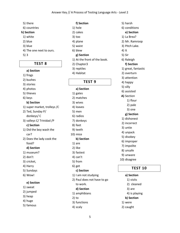- 5) there
- 6) countries

#### **h) Section**

- 1) white
- 2) blue
- 3) blue
- 4) The one next to ours.
- <span id="page-5-0"></span>5) 3

#### **TEST 8**

### **a) Section**

1) frogs 2) bushes 3) stories 4) photos 5) thieves 6) keys **b) Section**  1) super market, trolleys /C 2) Ted, Sunday P/ donkeys/ C 3) valleys C/ Trinidad /P

#### **c) Section**

- 1) Did the boy wash the car?
- 2) Does the lady cook the food?

#### **d) Section**

- 1) museum?
- 2) don't
- 3) cricket,
- 4) Harry
- 5) Sundays
- 6) Wow!

#### **e) Section**

- 1) sweat
- 2) jumped
- 3) heap
- 4) huge
- 5) famous

**f) Section**  1) hole 2) cakes 3) too 4) plane 5) waist 6) blew **g) Section** 1) At the front of the book. 2) Chapter3 3) reptiles 4) Habitat

## **TEST 9**

#### <span id="page-5-1"></span>**a) Section**

1) gates 2) matches 3) wives 4) loaves 5) men 6) radios 7) donkeys 8) feet 9) teeth 10) mice **b) Section**  1) are 2) like 3) fastest 4) can't 5) from 6) get **c) Section**  1) I am not studying 2) Paul does not have to go to work. **d) Section**  1) amphibians

2) to

- 3) functions
- 4) scaly

5) harsh 6) conditions **e) Section** 1) La Brea? 2) Mr. Ramroop 3) Pitch Lake. 4) It 5) Sir 6) Raleigh **f) Section** 1) great, fantastic 2) overturn 3) attention 4) happy 5) silly 6) assisted **A)** Section 1) flour 2) pale 3) one **g) Section**  1) dishonest 2) incorrect 3) untie 4) unpack 5) disobey 6) improper 7) impolite 8) unsafe 9) unware

<span id="page-5-2"></span>10) disagree

## **TEST 10**

#### **a) Section**

- 1) visits
- 2) cleaned
- 3) are
- 4) is playing
- **b) Section**
- 1) were
- 2) caught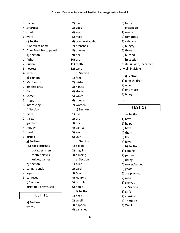3) made 4) smartest 5) charts 6) were **c) Section**  1) Is Karen at home? 2) Does Fred like to paint? **d) Section** 1) father 2) queen 3) hostess 4) wizards **e) Section** 1) Mr. Santos 2) amphibians? 3) Todd. 4) Some 5) frogs**,** 6) interesting! **f) Section** 1) piece 2) threw 3) grabbed 4) muddy 5) meat 6) dirtied **g) Section** 5) bags, brushes, potatoes, men, teeth, thieves, knives, dairies **h) Section** 1) caring, gentle 2) legend 3) confused **i) Section** dirty, full, pretty, sell

#### **TEST 11**

#### <span id="page-6-0"></span>**a) Section**

1) writes

2) has 3) goes 4) are 5) maid 6) teaches/taught 7) branches 8) thieves 9) her 10) are 11) teeth 12) were **b) Section**  1) feet 2) wishes 3) hands 4) stories 5) wives 6) photos 7) women **c) Section**  1) has 2) are 3) our 4) games 5) am 6) Our **d) Section**  1) baking 2) hugging 3) dancing **e) Section**  1) Allan 2) yard. 3) Mary 4) Henry's 5) terrible! 6) don't **f) Section** 1) heap 2) smell 3) happen 4) vanished

5) tardy **g) section**  1) market 2) tomatoes 3) cabbage 4) hungry 5) three 6) hurried **h) section** unsafe, unkind, incorrect, unwell, invisible **i) Section** 1) nine children 2) older 3) one more 4) 6 boys 5) 10

#### **TEST 12**

## <span id="page-6-1"></span>**a) Section**  1) have 2) helps 3) have 4) them 5) lay 6) have **b) Section**  1) coming 2) patting 3) riding 4) serves/served 5) goats 6) are playing 7) men 8) shelves **c) Section**  1) girl's 2) cousins' 3) There 're 4) We'll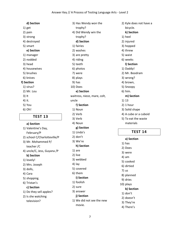|            | 1) get        |  |  |  |
|------------|---------------|--|--|--|
|            | 2) pain       |  |  |  |
|            | 3) strong     |  |  |  |
|            | 4) destroyed  |  |  |  |
|            | 5) smart      |  |  |  |
| e) Section |               |  |  |  |
|            | 1) manager    |  |  |  |
|            | 2) nodded     |  |  |  |
|            | 3) head       |  |  |  |
|            | 4) housewives |  |  |  |
|            | 5) brushes    |  |  |  |
|            | 6) knives     |  |  |  |
| f) Section |               |  |  |  |
|            | 1) virus?     |  |  |  |
|            | 2) Mr. Lou    |  |  |  |
| $3)$ It    |               |  |  |  |
| 4) it.     |               |  |  |  |
|            | 5) You        |  |  |  |
|            | 6) Oh!        |  |  |  |
|            |               |  |  |  |

**d) Section** 

<span id="page-7-0"></span>**TEST 13 a) Section**  1) Valentine's Day, February/P 2) school C/Charlotteville/P 3) Mr. Mohammed P/ teacher /C 4) uncle/C, Jess, Guyana /P **b) Section**  1) lovely! 2) Mrs. Joseph 3) dolls, 4) Cara 5) shopping. 6) Tristan's **c) Section**  1) Do they sell apples? 2) Is she watching

television?

3) Has Wendy won the trophy? 4) Did Wendy win the trophy? **d) Section**  1) fairies 2) washes 3) are pretty 4) riding 5) teeth 6) photos 7) were 8) plays 9) has 10) Does **e) Section** waitress, niece, mare, colt, uncle f**) Section** 1) Noun 2) Verb 3) Verb 4) Noun **g) Section** 1) Linda's 2) don't 3) We're **h) Section** 1) are 2) live 3) webbed 4) lay 5) covered 6) them **i) Section** 1) foolish 2) sure 3) answer **j) Section** 1) We did not see the new

2) Kyle does not have a bicycle. **k) Section** 1) heel 2) injured 3) hopped 4) threw 5) waist 6) weeks **l) Section**  1) Daddy! 2) Mr. Boodram 3) wrong? 4) brown, 5) Snoopy 6) him. **m) Section** 1) 13 2) 1 hour 3) Solid shape 4) A cube or a cuboid 5) To eat the waste materials

#### **TEST 14**

<span id="page-7-1"></span>**a) Section**  1) has 2) Does 3) were 4) am 5) cooked 6) dirtied 7) us 8) planned 9) dries 10) plays **b) Section**  1) don't 2) doesn't 3) They're 4) There's

movie.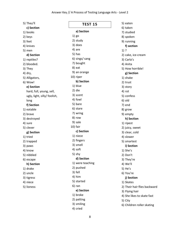<span id="page-8-0"></span>

| 5) They'll                   | <b>TEST 15</b>   | 5) eaten                     |
|------------------------------|------------------|------------------------------|
| c) Section                   |                  | 6) taken                     |
| 1) books                     | a) Section       | 7) studied                   |
| 2) keys                      | $1)$ go          | 8) spoken                    |
| 3) feet                      | 2) study         | 9) running                   |
| 4) knives                    | 3) does          | f) section                   |
| 5) men                       | 4) are           | $1)$ ?                       |
| d) Section                   | 5) has           | 2) cake, ice-cream           |
| 1) reptiles?                 | 6) sings/ sang   | 3) Carla's                   |
| 2) blooded.                  | 7) bought        | 4) Anita                     |
| 3) They                      | 8) eat           | 5) How horrible!             |
| 4) dry,                      | 9) an orange     | g) Section                   |
| 5) Alligators,               | 10) riper        | 1) shake                     |
| 6) Wow!                      | b) Section       | 2) trust                     |
| e) Section                   | 1) blue          | 3) story                     |
| hard, full, young, sell,     | 2) die           | 4) rot                       |
| ugly, light, silly/ foolish, | 3) scent         | 5) confess                   |
| long                         | 4) fowl          | $6)$ old                     |
| f) Section                   | 5) bare          | 7) end                       |
| 1) eatable                   | 6) stare         | 8) grow                      |
| 2) brave                     | 7) wring         | 9) empty                     |
| 3) destroyed                 | 8) row           | h) Section                   |
| 4) sure                      | 9) sale          | 1) ripest                    |
| 5) clever                    | $10)$ fair       | 2) juicy, sweet              |
| g) Section                   | c) Section       | 3) clear, cold               |
| 1) tried                     | 1) niece         | 4) slower                    |
| 2) trapped                   | 2) fingers       | 5) smartest                  |
| 3) paws                      | 3) smell         | i) Section                   |
| 4) know                      | 4) soft          | 1) She's                     |
| 5) nibbled                   | 5) shy           | 2) Don't                     |
| 6) escape                    | d) Section       | 3) They're                   |
| h) Section                   | 1) were teaching | 4) We'll                     |
| 1) drake                     | 2) pushed        | 5) He's                      |
| 2) uncle                     | 3) fell          | 6) You're                    |
| 3) tigress                   | 4) him           | j) Section                   |
| 4) niece                     | 5) started       | 1) Skates                    |
| 5) lioness                   | $6)$ ran         | 2) Their hair flies backward |
|                              | e) Section       | 3) Flying hair               |
|                              | 1) broke         | 4) She likes to skate fast   |
|                              | 2) patting       | 5) City                      |
|                              | 3) smiling       | 6) Children roller skating   |

4) cried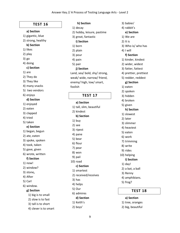**h) Section**

#### **TEST 16**

#### <span id="page-9-0"></span>**a) Section**

1) gigantic, blue 2) strong, healthy

#### **b) Section**

- 1) likes
- 2) play
- 3) go

#### 4) doing

#### **c) Section**

- 1) are
- 2) They do
- 3) They like
- 4) many snacks
- 5) two vendors
- 6) enjoys

#### **d) Section**

- 1) enjoyed
- 2) eaten
- 3) clapped
- 4) tried
- 5) taken

#### **e) Section**

- 1) began, begun
- 2) ate, eaten
- 3) spoke, spoken
- 4) took, taken
- 5) gave, given

## 6) wrote, written

## **f) Section**

- 1) now!
- 2) window?
- 3) stone**,**
- 4) After
- 5) Carl
- 6) window.

#### **g) Section**

- 1) big is to small
- 2) slow is to fast
- 3) tall is to short
- 4) clever is to smart

1) decay 2) hobby, leisure, pastime 3) great, fantastic **i) Section** 1) born 2) plain 3) pour 4) pain 5) pair **j) Section**  Land, sea/ bold, shy/ strong, weak/ wide, narrow/ friend, enemy/ high, low/ smart, foolish

### **TEST 17**

<span id="page-9-1"></span>**a) Section**  1) tall, slim, beautiful 2) kindest **b) Section**  1) buy 2) see 3) ripest 4) pane 5) bear 6) flour 7) pear 8) won 9) pail 10) road **c) Section**  1) smartest 2) received/receives 3) has 4) helps 5) Our 6) admires **d) Section**  1) Keith's 2) boys'

3) babies' 4) rabbit's **e) Section**  1) We are 2) It is 3) Who is/ who has 4) I will **f) Section** 1) kinder, kindest 2) wider, widest 3) fatter, fattest 4) prettier, prettiest 5) redder, reddest **g) Section** 1) eaten 2) spoken 3) hidden 4) broken 5) given **h) Section** 1) slowest 2) later 3) slimmer 4) heaviest 5) eaten 6) work 7) trimming 8) write 9) rides 10) helping **i) Section** 1) day! 2) a bat, a ball 3) Renny 4) amphibians. 5) frog?

#### **TEST 18**

#### <span id="page-9-2"></span>**a) Section**

1) tree, oranges 2) big, beautiful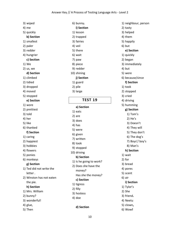3) wiped 4) me 5) quickly **b) Section**  1) smallest 2) paler 3) redder 4) hungrier **c) Section**  1) We 2) us, we **d) Section**  1) climbed 2) tidied 3) dropped 4) moved 5) stopped **e) Section**  1) wore 2) prettiest 3) told 4) her 5) like 6) thanked **f) Section**  1) caring 2) happiest 3) hobbies 4) flowers 5) ponies 6) monkeys **g) Section**  1) Ted did not write the letter . 2) Winston has not eaten the pie. **h) Section** 1) Mrs. William 2) bunny? 3) wonderful! 4) glue,

5) Then

6) bunny**. i) Section** 1) lesson 2) trapped 3) fairies 4) veil 5) there 6) wait 7) paw 8) piece 9) redder 10) shining **j) Section** 1) guard 2) pile 3) large

## **TEST 19**

## <span id="page-10-0"></span>**a) Section**  1) eats 2) are 3) does 4) has 5) were 6) given 7) written 8) took 9) stopped 10) driving **b) Section**  1) Is he going to work? 2) Does she have the money? Has she the money? **c) Section** 1) tigress 2) filly 3) hostess 4) doe

1) neighbour, person 2) tasty 3) helped 4) them 5) happily 6) but **e) Section** 1) quickly 2) began 3) immediately 4) but 5) were 6) because/since **f) Section** 1) took 2) stopped 3) cried 4) driving 5) humming **g) Section** 1) Tom's 2) He's 3) Doesn't 4) They will 5) They don't 6) The dog's 7) Boys'/ boy's 8) Man's **h) Section** 1) wait 2) for 3) bread 4) pores 5) scent 6) air **i) Section** 1) Tylor's 2) She 3) friend**.** 4) Neetu 5) clown**,** 6) Wow**!**

**d) Section**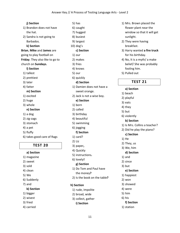#### **j) Section**

- 1) Brandon does not have the hat.
- 2) Sandra is not going to Barbados.

#### **k) Section**

- **Brian**, **Mike** and **James** are
- going to play football on **Friday**. They also like to go to church on **Sundays.**

#### **l) Section**

- 1) tallest
- 2) prettiest
- 3) later
- 4) fatter

#### **m) Section**

- 1) excited
- 2) huge
- 3) whole

#### **n) Section**

- 1) a dog
- 2) zig-zags
- 3) stomach
- 4) a pet
- 5) fluffy
- <span id="page-11-0"></span>6) takes good care of Rags

## **TEST 20**

#### **a) Section**

- 1) magazine
- 2) sweet
- 3) sold
- 4) clean
- 5) We
- 6) Suddenly
- 7) and

#### **b) Section**

- 1) bigger
- 2) wisest
- 3) fried
- 4) carried
- 5) has
- 6) caught
- 7) hugged
- 8) busiest
- 9) largest
- 10) dog's
	- **c) Section**
- 1) our
- 2) makes
- 3) fries
- 4) knows
- 5) our
- 6) quickly
	- **d) Section**
- 1) Damien does not have a
	- sweet orange.
- 2) Jack is not a wise boy.
	- **e) Section**
- 1) born
- 2) called
- 3) birthday
- 4) beautiful
- 5) swimming
- 6) jogging
	- **f) Section**
- 1) card?
- 2) Liz
- 3) paper**,**
- 4) Quickly
- 5) instructions**.**
- 6) lovely**!**
- **g) Section**
- 1) Do Tom and Paul have the money**?**
- 2) Is the book on the table**?**

11

#### **h) Section**

- 1) rude, impolite
- 2) broad, wide
- 3) collect, gather

#### **i) Section**

- 1) Mrs. Brown placed the flower plant near the window so that it will get sunlight.
- 2) They were having breakfast.
- 3) Harry wanted **a fire truck** for his birthday.
- 4) No, It is a myth/ a make belief/ She was probably fooling him.
- <span id="page-11-1"></span>5) Pulled out

### **TEST 21**

#### **a) Section**

- 1) beach
- 2) playful
- 3) eats
- 4) they
- 5) but
- 6) violently
- **b) Section**
- 1) Is Mrs. Collins a teacher?
- 2) Did he play the piano?
	- **c) Section**
- 1) He
- 2) They, us
- 3) We, him

#### **d) Section**

- 1) and
- 2) since
- 3) but

**e) Section**  1) happiest 2) won 3) showed 4) were 5) him 6) his

**f) Section** 1) station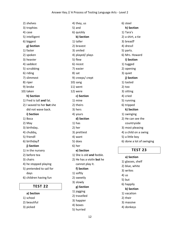2) shelves 3) trophies 4) case 5) intelligent 6) biggest **g) Section** 1) faster 2) spoken 3) heavier 4) saddest 5) scrubbing 6) riding 7) slimmest 8) riper 9) broke 10) taken **h) Section** 1) Fred is tall **and** fat. 2) I waved to her **but** she did not wave back. **i) Section** 1) Boca 2) May 3) birthday**.** 4) chubby**,** 5) friend**!** 6) birthday**? j) Section**  1) in the nursery 2) before tea 3) chairs 4) he stopped playing 5) pretended to sail for days 6) children having fun

## **TEST 22**

- <span id="page-12-0"></span>**a) Section**
- 1) school
- 2) beautiful
- 3) picked

4) they, us 5) and 6) quickly **b) Section**  1) taller 2) bravest 3) smiled 4) played/ plays 5) flew 6) nicest 7) easier 8) sat 9) creeps/ crept 10) sang 11) went 12) were **c) Section**  1) mine 2) theirs 3) hers 4) yours **d) Section**  1) has 2) her 3) prettiest 4) want 5) does 6) her **e) Section**  1) She is old **and** feeble. 2) He has a violin **but** he cannot play it. **f) Section** 1) softly 2) sweetly 3) slowly

- **g) Section**
- 1) jogging
- 2) travelled
- 3) happier
- 4) boxes
- 5) hurried

6) steel **h) Section** 1) Tara's 2) a shirt, a tie 3) bread**?** 4) dress**!** 5) parts. 6) Mrs. Howard **i) Section** 1) tugged 2) opening 3) quiet **j) Section**  1) tasted 2) too 3) sitting 4) cried 5) running 6) tripped **k) Section**  1) swinging 2) He can see the countryside 3) most pleasing 4) a child on a swing 5) a little boy 6) done a lot of swinging

#### **TEST 23**

## <span id="page-12-1"></span>**a) Section**  1) glasses, shelf 2) blue, white 3) writes 4) us 5) but

6) happily

#### **b) Section**

- 1) vacation
- 2) their
- 3) massive
- 4) donkeys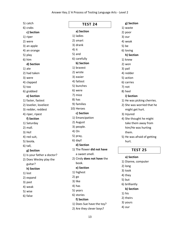5) catch 6) crabs **c) Section**  1) riper 2) were 3) an apple 4) an orange 5) play 6) him **d) Section** 1) ate 2) had taken 3) were 4) clapped 5) too 6) grabbed **e) Section** 1) faster, fastest 2) lovelier, loveliest 3) redder, reddest 4) riper, ripest **f) Section**  1) Saturday 2) mall. 3) Ho**!** 4) red suit, 5) boot**s.** 6) tall, **g) Section** 1) Is your father a doctor? 2) Does Wesley play the guitar? **h) Section** 1) lost 2) expand 3) past 4) weak 5) wise 6) false

<span id="page-13-0"></span>**TEST 24 a) Section**  1) ladies 2) smart 3) drank 4) it 5) and 6) carefully **b) Section**  1) bravest 2) wrote 3) easier 4) fattest 5) bunches 6) were 7) mice 8) has 9) families 10) Heroes **c) Section**  1) Emancipation 2) August 3) people. 4) On 5) pray, 6) day**! d) Section**  1) The flower **did not have** a sweet smell. 2) Cindy **does not have** the book. **e) Section**  1) highest 2) go 3) like 4) has 5) years 6) stories **f) Section** 1) Does Sue have the toy? 2) Are they clever boys?

1) waste 2) poor 3) our 4) weak 5) be 6) loving **h) Section** 1) knew 2) won 3) pail 4) redder 5) action 6) carries 7) not 8) heel **i) Section** 1) He was picking cherries. 2) She was worried that he might get hurt. 3) Injured 4) She thought he might take them away from him/He was hurting them. 5) He was afraid of getting hurt.

**g) Section**

#### **TEST 25**

#### <span id="page-13-1"></span>**a) Section**

1) Dianne, computer 2) long 3) took 4) they 5) but 6) brilliantly **b) Section**  1) his 2) theirs 3) yours 4) our